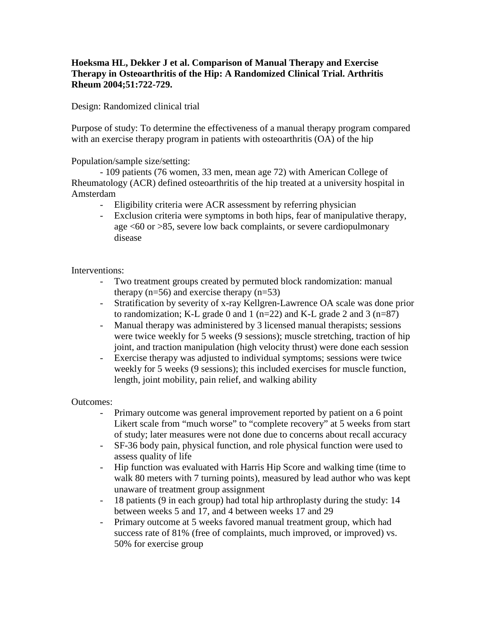## **Hoeksma HL, Dekker J et al. Comparison of Manual Therapy and Exercise Therapy in Osteoarthritis of the Hip: A Randomized Clinical Trial. Arthritis Rheum 2004;51:722-729.**

## Design: Randomized clinical trial

Purpose of study: To determine the effectiveness of a manual therapy program compared with an exercise therapy program in patients with osteoarthritis (OA) of the hip

Population/sample size/setting:

- 109 patients (76 women, 33 men, mean age 72) with American College of Rheumatology (ACR) defined osteoarthritis of the hip treated at a university hospital in Amsterdam

- Eligibility criteria were ACR assessment by referring physician
- Exclusion criteria were symptoms in both hips, fear of manipulative therapy, age <60 or >85, severe low back complaints, or severe cardiopulmonary disease

## Interventions:

- Two treatment groups created by permuted block randomization: manual therapy  $(n=56)$  and exercise therapy  $(n=53)$
- Stratification by severity of x-ray Kellgren-Lawrence OA scale was done prior to randomization; K-L grade 0 and 1 ( $n=22$ ) and K-L grade 2 and 3 ( $n=87$ )
- Manual therapy was administered by 3 licensed manual therapists; sessions were twice weekly for 5 weeks (9 sessions); muscle stretching, traction of hip joint, and traction manipulation (high velocity thrust) were done each session
- Exercise therapy was adjusted to individual symptoms; sessions were twice weekly for 5 weeks (9 sessions); this included exercises for muscle function, length, joint mobility, pain relief, and walking ability

Outcomes:

- Primary outcome was general improvement reported by patient on a 6 point Likert scale from "much worse" to "complete recovery" at 5 weeks from start of study; later measures were not done due to concerns about recall accuracy
- SF-36 body pain, physical function, and role physical function were used to assess quality of life
- Hip function was evaluated with Harris Hip Score and walking time (time to walk 80 meters with 7 turning points), measured by lead author who was kept unaware of treatment group assignment
- 18 patients (9 in each group) had total hip arthroplasty during the study: 14 between weeks 5 and 17, and 4 between weeks 17 and 29
- Primary outcome at 5 weeks favored manual treatment group, which had success rate of 81% (free of complaints, much improved, or improved) vs. 50% for exercise group